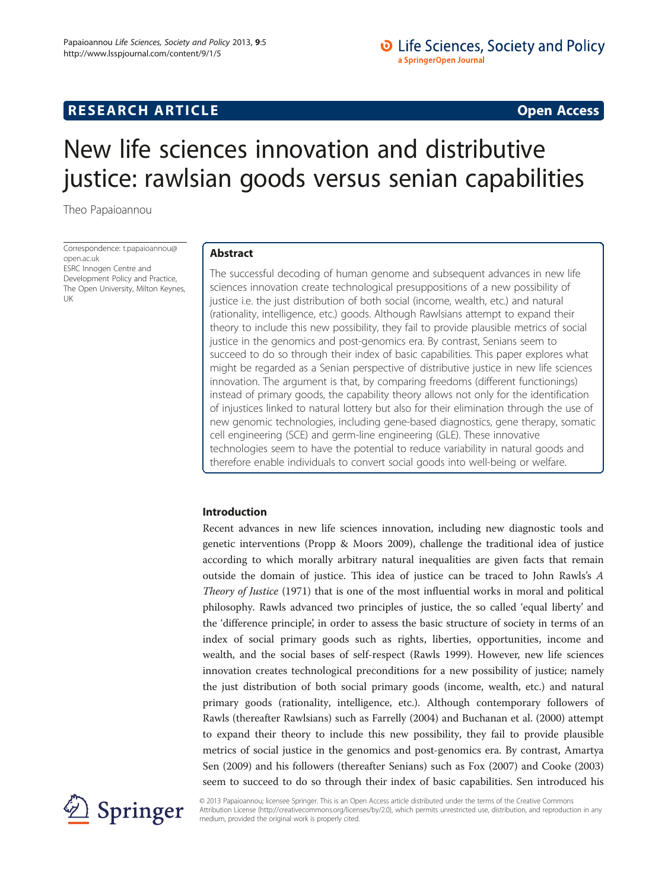## **RESEARCH ARTICLE Example 2018 12:00 Department of the CONNECTION CONNECTION CONNECTION CONNECTION**

# New life sciences innovation and distributive justice: rawlsian goods versus senian capabilities

Theo Papaioannou

Correspondence: [t.papaioannou@](mailto:t.papaioannou@open.ac.uk) [open.ac.uk](mailto:t.papaioannou@open.ac.uk) ESRC Innogen Centre and Development Policy and Practice, The Open University, Milton Keynes, UK

#### Abstract

The successful decoding of human genome and subsequent advances in new life sciences innovation create technological presuppositions of a new possibility of justice i.e. the just distribution of both social (income, wealth, etc.) and natural (rationality, intelligence, etc.) goods. Although Rawlsians attempt to expand their theory to include this new possibility, they fail to provide plausible metrics of social justice in the genomics and post-genomics era. By contrast, Senians seem to succeed to do so through their index of basic capabilities. This paper explores what might be regarded as a Senian perspective of distributive justice in new life sciences innovation. The argument is that, by comparing freedoms (different functionings) instead of primary goods, the capability theory allows not only for the identification of injustices linked to natural lottery but also for their elimination through the use of new genomic technologies, including gene-based diagnostics, gene therapy, somatic cell engineering (SCE) and germ-line engineering (GLE). These innovative technologies seem to have the potential to reduce variability in natural goods and therefore enable individuals to convert social goods into well-being or welfare.

#### Introduction

Recent advances in new life sciences innovation, including new diagnostic tools and genetic interventions (Propp & Moors [2009](#page-12-0)), challenge the traditional idea of justice according to which morally arbitrary natural inequalities are given facts that remain outside the domain of justice. This idea of justice can be traced to John Rawls's A Theory of Justice ([1971](#page-12-0)) that is one of the most influential works in moral and political philosophy. Rawls advanced two principles of justice, the so called 'equal liberty' and the 'difference principle', in order to assess the basic structure of society in terms of an index of social primary goods such as rights, liberties, opportunities, income and wealth, and the social bases of self-respect (Rawls [1999](#page-12-0)). However, new life sciences innovation creates technological preconditions for a new possibility of justice; namely the just distribution of both social primary goods (income, wealth, etc.) and natural primary goods (rationality, intelligence, etc.). Although contemporary followers of Rawls (thereafter Rawlsians) such as Farrelly [\(2004](#page-12-0)) and Buchanan et al. [\(2000\)](#page-11-0) attempt to expand their theory to include this new possibility, they fail to provide plausible metrics of social justice in the genomics and post-genomics era. By contrast, Amartya Sen ([2009](#page-12-0)) and his followers (thereafter Senians) such as Fox [\(2007\)](#page-12-0) and Cooke ([2003](#page-11-0)) seem to succeed to do so through their index of basic capabilities. Sen introduced his



© 2013 Papaioannou; licensee Springer. This is an Open Access article distributed under the terms of the Creative Commons Attribution License [\(http://creativecommons.org/licenses/by/2.0\)](http://creativecommons.org/licenses/by/2.0), which permits unrestricted use, distribution, and reproduction in any medium, provided the original work is properly cited.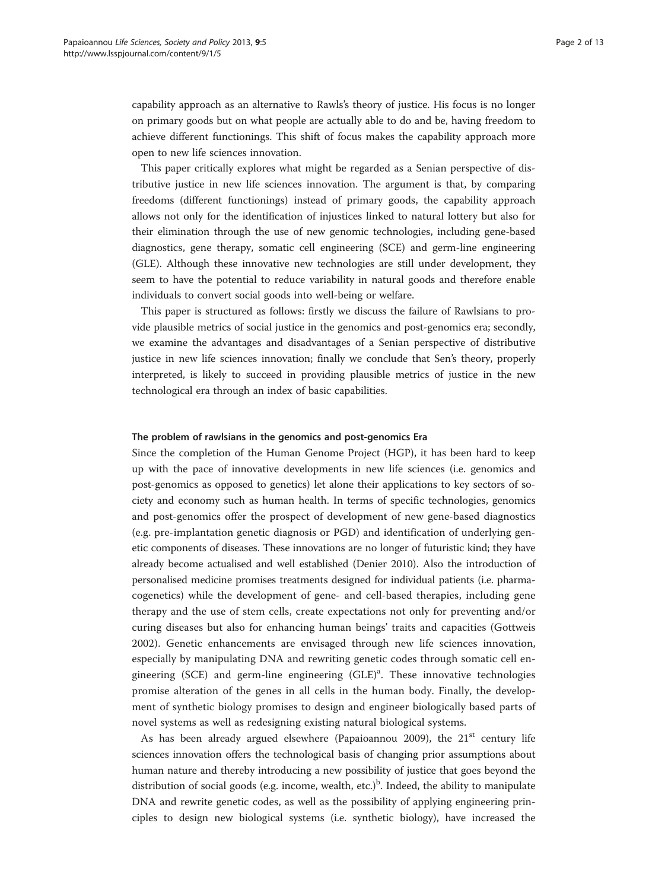capability approach as an alternative to Rawls's theory of justice. His focus is no longer on primary goods but on what people are actually able to do and be, having freedom to achieve different functionings. This shift of focus makes the capability approach more open to new life sciences innovation.

This paper critically explores what might be regarded as a Senian perspective of distributive justice in new life sciences innovation. The argument is that, by comparing freedoms (different functionings) instead of primary goods, the capability approach allows not only for the identification of injustices linked to natural lottery but also for their elimination through the use of new genomic technologies, including gene-based diagnostics, gene therapy, somatic cell engineering (SCE) and germ-line engineering (GLE). Although these innovative new technologies are still under development, they seem to have the potential to reduce variability in natural goods and therefore enable individuals to convert social goods into well-being or welfare.

This paper is structured as follows: firstly we discuss the failure of Rawlsians to provide plausible metrics of social justice in the genomics and post-genomics era; secondly, we examine the advantages and disadvantages of a Senian perspective of distributive justice in new life sciences innovation; finally we conclude that Sen's theory, properly interpreted, is likely to succeed in providing plausible metrics of justice in the new technological era through an index of basic capabilities.

#### The problem of rawlsians in the genomics and post-genomics Era

Since the completion of the Human Genome Project (HGP), it has been hard to keep up with the pace of innovative developments in new life sciences (i.e. genomics and post-genomics as opposed to genetics) let alone their applications to key sectors of society and economy such as human health. In terms of specific technologies, genomics and post-genomics offer the prospect of development of new gene-based diagnostics (e.g. pre-implantation genetic diagnosis or PGD) and identification of underlying genetic components of diseases. These innovations are no longer of futuristic kind; they have already become actualised and well established (Denier [2010](#page-11-0)). Also the introduction of personalised medicine promises treatments designed for individual patients (i.e. pharmacogenetics) while the development of gene- and cell-based therapies, including gene therapy and the use of stem cells, create expectations not only for preventing and/or curing diseases but also for enhancing human beings' traits and capacities (Gottweis [2002\)](#page-12-0). Genetic enhancements are envisaged through new life sciences innovation, especially by manipulating DNA and rewriting genetic codes through somatic cell engineering (SCE) and germ-line engineering (GLE)<sup>a</sup>. These innovative technologies promise alteration of the genes in all cells in the human body. Finally, the development of synthetic biology promises to design and engineer biologically based parts of novel systems as well as redesigning existing natural biological systems.

As has been already argued elsewhere (Papaioannou [2009\)](#page-12-0), the  $21<sup>st</sup>$  century life sciences innovation offers the technological basis of changing prior assumptions about human nature and thereby introducing a new possibility of justice that goes beyond the distribution of social goods (e.g. income, wealth, etc.)<sup>b</sup>. Indeed, the ability to manipulate DNA and rewrite genetic codes, as well as the possibility of applying engineering principles to design new biological systems (i.e. synthetic biology), have increased the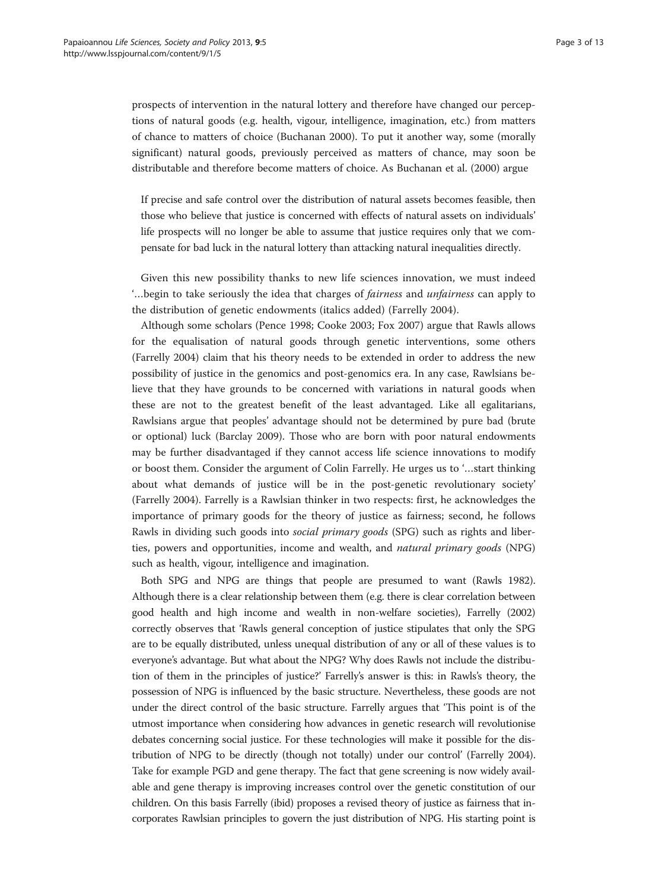prospects of intervention in the natural lottery and therefore have changed our perceptions of natural goods (e.g. health, vigour, intelligence, imagination, etc.) from matters of chance to matters of choice (Buchanan [2000](#page-11-0)). To put it another way, some (morally significant) natural goods, previously perceived as matters of chance, may soon be distributable and therefore become matters of choice. As Buchanan et al. ([2000\)](#page-11-0) argue

If precise and safe control over the distribution of natural assets becomes feasible, then those who believe that justice is concerned with effects of natural assets on individuals' life prospects will no longer be able to assume that justice requires only that we compensate for bad luck in the natural lottery than attacking natural inequalities directly.

Given this new possibility thanks to new life sciences innovation, we must indeed '…begin to take seriously the idea that charges of fairness and unfairness can apply to the distribution of genetic endowments (italics added) (Farrelly [2004\)](#page-12-0).

Although some scholars (Pence [1998;](#page-12-0) Cooke [2003;](#page-11-0) Fox [2007\)](#page-12-0) argue that Rawls allows for the equalisation of natural goods through genetic interventions, some others (Farrelly [2004](#page-12-0)) claim that his theory needs to be extended in order to address the new possibility of justice in the genomics and post-genomics era. In any case, Rawlsians believe that they have grounds to be concerned with variations in natural goods when these are not to the greatest benefit of the least advantaged. Like all egalitarians, Rawlsians argue that peoples' advantage should not be determined by pure bad (brute or optional) luck (Barclay [2009\)](#page-11-0). Those who are born with poor natural endowments may be further disadvantaged if they cannot access life science innovations to modify or boost them. Consider the argument of Colin Farrelly. He urges us to '…start thinking about what demands of justice will be in the post-genetic revolutionary society' (Farrelly [2004\)](#page-12-0). Farrelly is a Rawlsian thinker in two respects: first, he acknowledges the importance of primary goods for the theory of justice as fairness; second, he follows Rawls in dividing such goods into social primary goods (SPG) such as rights and liberties, powers and opportunities, income and wealth, and natural primary goods (NPG) such as health, vigour, intelligence and imagination.

Both SPG and NPG are things that people are presumed to want (Rawls [1982](#page-12-0)). Although there is a clear relationship between them (e.g. there is clear correlation between good health and high income and wealth in non-welfare societies), Farrelly [\(2002](#page-11-0)) correctly observes that 'Rawls general conception of justice stipulates that only the SPG are to be equally distributed, unless unequal distribution of any or all of these values is to everyone's advantage. But what about the NPG? Why does Rawls not include the distribution of them in the principles of justice?' Farrelly's answer is this: in Rawls's theory, the possession of NPG is influenced by the basic structure. Nevertheless, these goods are not under the direct control of the basic structure. Farrelly argues that 'This point is of the utmost importance when considering how advances in genetic research will revolutionise debates concerning social justice. For these technologies will make it possible for the distribution of NPG to be directly (though not totally) under our control' (Farrelly [2004](#page-12-0)). Take for example PGD and gene therapy. The fact that gene screening is now widely available and gene therapy is improving increases control over the genetic constitution of our children. On this basis Farrelly (ibid) proposes a revised theory of justice as fairness that incorporates Rawlsian principles to govern the just distribution of NPG. His starting point is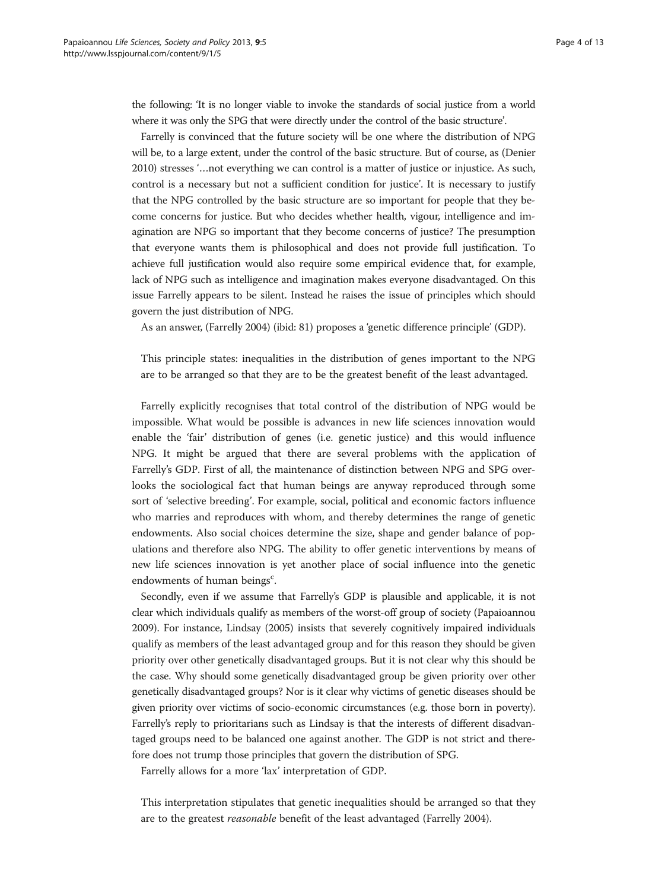the following: 'It is no longer viable to invoke the standards of social justice from a world where it was only the SPG that were directly under the control of the basic structure'.

Farrelly is convinced that the future society will be one where the distribution of NPG will be, to a large extent, under the control of the basic structure. But of course, as (Denier [2010\)](#page-11-0) stresses '…not everything we can control is a matter of justice or injustice. As such, control is a necessary but not a sufficient condition for justice'. It is necessary to justify that the NPG controlled by the basic structure are so important for people that they become concerns for justice. But who decides whether health, vigour, intelligence and imagination are NPG so important that they become concerns of justice? The presumption that everyone wants them is philosophical and does not provide full justification. To achieve full justification would also require some empirical evidence that, for example, lack of NPG such as intelligence and imagination makes everyone disadvantaged. On this issue Farrelly appears to be silent. Instead he raises the issue of principles which should govern the just distribution of NPG.

As an answer, (Farrelly [2004](#page-12-0)) (ibid: 81) proposes a 'genetic difference principle' (GDP).

This principle states: inequalities in the distribution of genes important to the NPG are to be arranged so that they are to be the greatest benefit of the least advantaged.

Farrelly explicitly recognises that total control of the distribution of NPG would be impossible. What would be possible is advances in new life sciences innovation would enable the 'fair' distribution of genes (i.e. genetic justice) and this would influence NPG. It might be argued that there are several problems with the application of Farrelly's GDP. First of all, the maintenance of distinction between NPG and SPG overlooks the sociological fact that human beings are anyway reproduced through some sort of 'selective breeding'. For example, social, political and economic factors influence who marries and reproduces with whom, and thereby determines the range of genetic endowments. Also social choices determine the size, shape and gender balance of populations and therefore also NPG. The ability to offer genetic interventions by means of new life sciences innovation is yet another place of social influence into the genetic endowments of human beings<sup>c</sup>.

Secondly, even if we assume that Farrelly's GDP is plausible and applicable, it is not clear which individuals qualify as members of the worst-off group of society (Papaioannou [2009\)](#page-12-0). For instance, Lindsay [\(2005\)](#page-12-0) insists that severely cognitively impaired individuals qualify as members of the least advantaged group and for this reason they should be given priority over other genetically disadvantaged groups. But it is not clear why this should be the case. Why should some genetically disadvantaged group be given priority over other genetically disadvantaged groups? Nor is it clear why victims of genetic diseases should be given priority over victims of socio-economic circumstances (e.g. those born in poverty). Farrelly's reply to prioritarians such as Lindsay is that the interests of different disadvantaged groups need to be balanced one against another. The GDP is not strict and therefore does not trump those principles that govern the distribution of SPG.

Farrelly allows for a more 'lax' interpretation of GDP.

This interpretation stipulates that genetic inequalities should be arranged so that they are to the greatest *reasonable* benefit of the least advantaged (Farrelly [2004](#page-12-0)).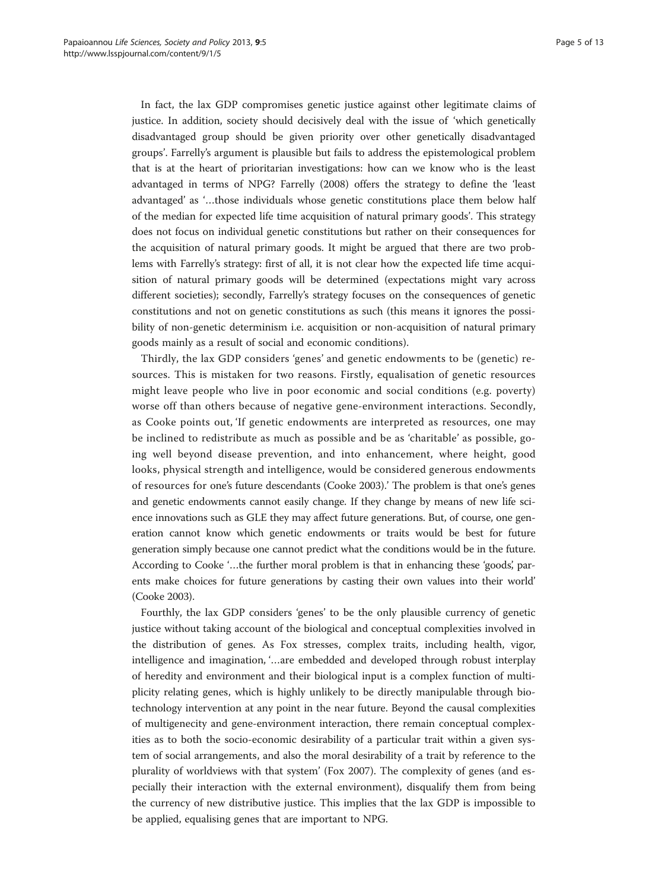In fact, the lax GDP compromises genetic justice against other legitimate claims of justice. In addition, society should decisively deal with the issue of 'which genetically disadvantaged group should be given priority over other genetically disadvantaged groups'. Farrelly's argument is plausible but fails to address the epistemological problem that is at the heart of prioritarian investigations: how can we know who is the least advantaged in terms of NPG? Farrelly [\(2008](#page-12-0)) offers the strategy to define the 'least advantaged' as '…those individuals whose genetic constitutions place them below half of the median for expected life time acquisition of natural primary goods'. This strategy does not focus on individual genetic constitutions but rather on their consequences for the acquisition of natural primary goods. It might be argued that there are two problems with Farrelly's strategy: first of all, it is not clear how the expected life time acquisition of natural primary goods will be determined (expectations might vary across different societies); secondly, Farrelly's strategy focuses on the consequences of genetic constitutions and not on genetic constitutions as such (this means it ignores the possibility of non-genetic determinism i.e. acquisition or non-acquisition of natural primary goods mainly as a result of social and economic conditions).

Thirdly, the lax GDP considers 'genes' and genetic endowments to be (genetic) resources. This is mistaken for two reasons. Firstly, equalisation of genetic resources might leave people who live in poor economic and social conditions (e.g. poverty) worse off than others because of negative gene-environment interactions. Secondly, as Cooke points out, 'If genetic endowments are interpreted as resources, one may be inclined to redistribute as much as possible and be as 'charitable' as possible, going well beyond disease prevention, and into enhancement, where height, good looks, physical strength and intelligence, would be considered generous endowments of resources for one's future descendants (Cooke [2003\)](#page-11-0).' The problem is that one's genes and genetic endowments cannot easily change. If they change by means of new life science innovations such as GLE they may affect future generations. But, of course, one generation cannot know which genetic endowments or traits would be best for future generation simply because one cannot predict what the conditions would be in the future. According to Cooke '…the further moral problem is that in enhancing these 'goods', parents make choices for future generations by casting their own values into their world' (Cooke [2003](#page-11-0)).

Fourthly, the lax GDP considers 'genes' to be the only plausible currency of genetic justice without taking account of the biological and conceptual complexities involved in the distribution of genes. As Fox stresses, complex traits, including health, vigor, intelligence and imagination, '…are embedded and developed through robust interplay of heredity and environment and their biological input is a complex function of multiplicity relating genes, which is highly unlikely to be directly manipulable through biotechnology intervention at any point in the near future. Beyond the causal complexities of multigenecity and gene-environment interaction, there remain conceptual complexities as to both the socio-economic desirability of a particular trait within a given system of social arrangements, and also the moral desirability of a trait by reference to the plurality of worldviews with that system' (Fox [2007](#page-12-0)). The complexity of genes (and especially their interaction with the external environment), disqualify them from being the currency of new distributive justice. This implies that the lax GDP is impossible to be applied, equalising genes that are important to NPG.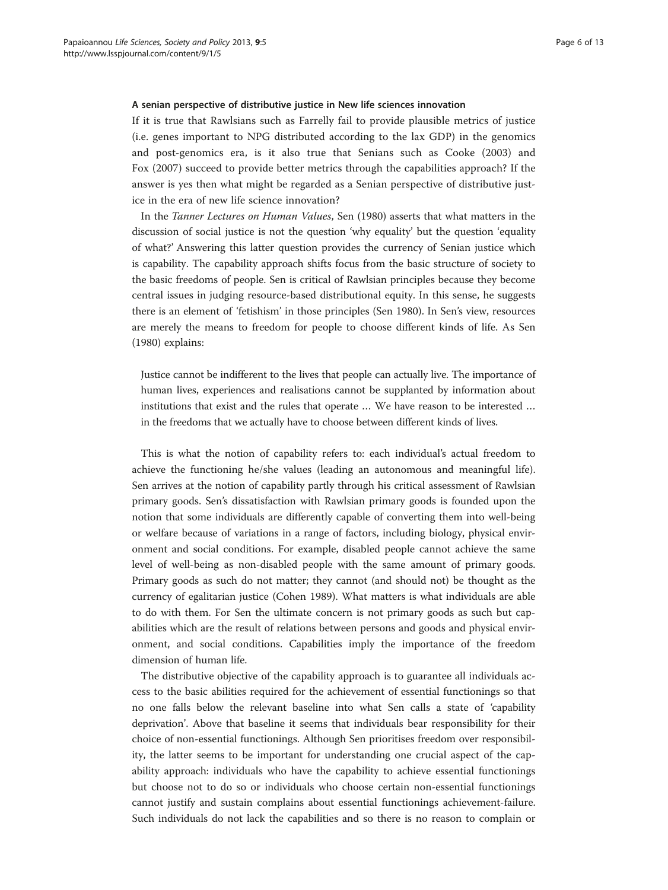#### A senian perspective of distributive justice in New life sciences innovation

If it is true that Rawlsians such as Farrelly fail to provide plausible metrics of justice (i.e. genes important to NPG distributed according to the lax GDP) in the genomics and post-genomics era, is it also true that Senians such as Cooke ([2003](#page-11-0)) and Fox [\(2007](#page-12-0)) succeed to provide better metrics through the capabilities approach? If the answer is yes then what might be regarded as a Senian perspective of distributive justice in the era of new life science innovation?

In the Tanner Lectures on Human Values, Sen ([1980\)](#page-12-0) asserts that what matters in the discussion of social justice is not the question 'why equality' but the question 'equality of what?' Answering this latter question provides the currency of Senian justice which is capability. The capability approach shifts focus from the basic structure of society to the basic freedoms of people. Sen is critical of Rawlsian principles because they become central issues in judging resource-based distributional equity. In this sense, he suggests there is an element of 'fetishism' in those principles (Sen [1980\)](#page-12-0). In Sen's view, resources are merely the means to freedom for people to choose different kinds of life. As Sen ([1980](#page-12-0)) explains:

Justice cannot be indifferent to the lives that people can actually live. The importance of human lives, experiences and realisations cannot be supplanted by information about institutions that exist and the rules that operate … We have reason to be interested … in the freedoms that we actually have to choose between different kinds of lives.

This is what the notion of capability refers to: each individual's actual freedom to achieve the functioning he/she values (leading an autonomous and meaningful life). Sen arrives at the notion of capability partly through his critical assessment of Rawlsian primary goods. Sen's dissatisfaction with Rawlsian primary goods is founded upon the notion that some individuals are differently capable of converting them into well-being or welfare because of variations in a range of factors, including biology, physical environment and social conditions. For example, disabled people cannot achieve the same level of well-being as non-disabled people with the same amount of primary goods. Primary goods as such do not matter; they cannot (and should not) be thought as the currency of egalitarian justice (Cohen [1989](#page-11-0)). What matters is what individuals are able to do with them. For Sen the ultimate concern is not primary goods as such but capabilities which are the result of relations between persons and goods and physical environment, and social conditions. Capabilities imply the importance of the freedom dimension of human life.

The distributive objective of the capability approach is to guarantee all individuals access to the basic abilities required for the achievement of essential functionings so that no one falls below the relevant baseline into what Sen calls a state of 'capability deprivation'. Above that baseline it seems that individuals bear responsibility for their choice of non-essential functionings. Although Sen prioritises freedom over responsibility, the latter seems to be important for understanding one crucial aspect of the capability approach: individuals who have the capability to achieve essential functionings but choose not to do so or individuals who choose certain non-essential functionings cannot justify and sustain complains about essential functionings achievement-failure. Such individuals do not lack the capabilities and so there is no reason to complain or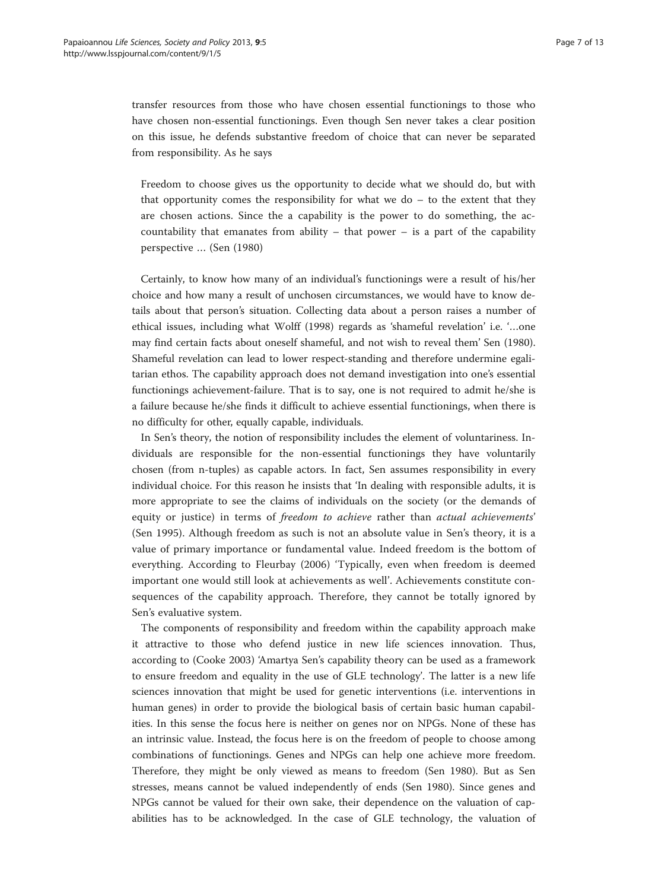transfer resources from those who have chosen essential functionings to those who have chosen non-essential functionings. Even though Sen never takes a clear position on this issue, he defends substantive freedom of choice that can never be separated from responsibility. As he says

Freedom to choose gives us the opportunity to decide what we should do, but with that opportunity comes the responsibility for what we do – to the extent that they are chosen actions. Since the a capability is the power to do something, the accountability that emanates from ability  $-$  that power  $-$  is a part of the capability perspective … (Sen [\(1980](#page-12-0))

Certainly, to know how many of an individual's functionings were a result of his/her choice and how many a result of unchosen circumstances, we would have to know details about that person's situation. Collecting data about a person raises a number of ethical issues, including what Wolff [\(1998\)](#page-12-0) regards as 'shameful revelation' i.e. '…one may find certain facts about oneself shameful, and not wish to reveal them' Sen ([1980](#page-12-0)). Shameful revelation can lead to lower respect-standing and therefore undermine egalitarian ethos. The capability approach does not demand investigation into one's essential functionings achievement-failure. That is to say, one is not required to admit he/she is a failure because he/she finds it difficult to achieve essential functionings, when there is no difficulty for other, equally capable, individuals.

In Sen's theory, the notion of responsibility includes the element of voluntariness. Individuals are responsible for the non-essential functionings they have voluntarily chosen (from n-tuples) as capable actors. In fact, Sen assumes responsibility in every individual choice. For this reason he insists that 'In dealing with responsible adults, it is more appropriate to see the claims of individuals on the society (or the demands of equity or justice) in terms of freedom to achieve rather than actual achievements' (Sen [1995](#page-12-0)). Although freedom as such is not an absolute value in Sen's theory, it is a value of primary importance or fundamental value. Indeed freedom is the bottom of everything. According to Fleurbay [\(2006](#page-12-0)) 'Typically, even when freedom is deemed important one would still look at achievements as well'. Achievements constitute consequences of the capability approach. Therefore, they cannot be totally ignored by Sen's evaluative system.

The components of responsibility and freedom within the capability approach make it attractive to those who defend justice in new life sciences innovation. Thus, according to (Cooke [2003\)](#page-11-0) 'Amartya Sen's capability theory can be used as a framework to ensure freedom and equality in the use of GLE technology'. The latter is a new life sciences innovation that might be used for genetic interventions (i.e. interventions in human genes) in order to provide the biological basis of certain basic human capabilities. In this sense the focus here is neither on genes nor on NPGs. None of these has an intrinsic value. Instead, the focus here is on the freedom of people to choose among combinations of functionings. Genes and NPGs can help one achieve more freedom. Therefore, they might be only viewed as means to freedom (Sen [1980](#page-12-0)). But as Sen stresses, means cannot be valued independently of ends (Sen [1980](#page-12-0)). Since genes and NPGs cannot be valued for their own sake, their dependence on the valuation of capabilities has to be acknowledged. In the case of GLE technology, the valuation of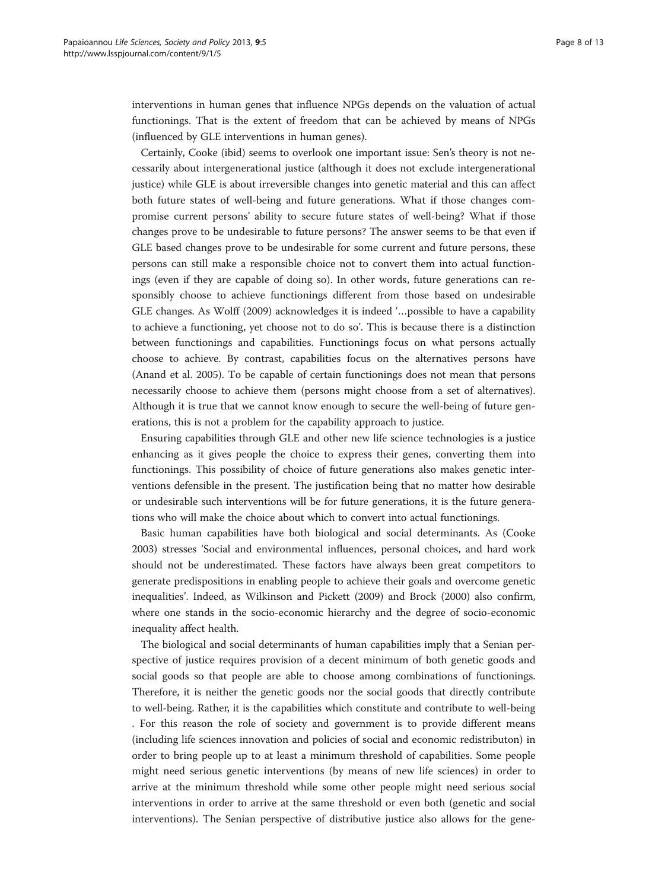interventions in human genes that influence NPGs depends on the valuation of actual functionings. That is the extent of freedom that can be achieved by means of NPGs (influenced by GLE interventions in human genes).

Certainly, Cooke (ibid) seems to overlook one important issue: Sen's theory is not necessarily about intergenerational justice (although it does not exclude intergenerational justice) while GLE is about irreversible changes into genetic material and this can affect both future states of well-being and future generations. What if those changes compromise current persons' ability to secure future states of well-being? What if those changes prove to be undesirable to future persons? The answer seems to be that even if GLE based changes prove to be undesirable for some current and future persons, these persons can still make a responsible choice not to convert them into actual functionings (even if they are capable of doing so). In other words, future generations can responsibly choose to achieve functionings different from those based on undesirable GLE changes. As Wolff ([2009](#page-12-0)) acknowledges it is indeed '…possible to have a capability to achieve a functioning, yet choose not to do so'. This is because there is a distinction between functionings and capabilities. Functionings focus on what persons actually choose to achieve. By contrast, capabilities focus on the alternatives persons have (Anand et al. [2005\)](#page-11-0). To be capable of certain functionings does not mean that persons necessarily choose to achieve them (persons might choose from a set of alternatives). Although it is true that we cannot know enough to secure the well-being of future generations, this is not a problem for the capability approach to justice.

Ensuring capabilities through GLE and other new life science technologies is a justice enhancing as it gives people the choice to express their genes, converting them into functionings. This possibility of choice of future generations also makes genetic interventions defensible in the present. The justification being that no matter how desirable or undesirable such interventions will be for future generations, it is the future generations who will make the choice about which to convert into actual functionings.

Basic human capabilities have both biological and social determinants. As (Cooke [2003](#page-11-0)) stresses 'Social and environmental influences, personal choices, and hard work should not be underestimated. These factors have always been great competitors to generate predispositions in enabling people to achieve their goals and overcome genetic inequalities'. Indeed, as Wilkinson and Pickett [\(2009\)](#page-12-0) and Brock [\(2000](#page-11-0)) also confirm, where one stands in the socio-economic hierarchy and the degree of socio-economic inequality affect health.

The biological and social determinants of human capabilities imply that a Senian perspective of justice requires provision of a decent minimum of both genetic goods and social goods so that people are able to choose among combinations of functionings. Therefore, it is neither the genetic goods nor the social goods that directly contribute to well-being. Rather, it is the capabilities which constitute and contribute to well-being . For this reason the role of society and government is to provide different means (including life sciences innovation and policies of social and economic redistributon) in order to bring people up to at least a minimum threshold of capabilities. Some people might need serious genetic interventions (by means of new life sciences) in order to arrive at the minimum threshold while some other people might need serious social interventions in order to arrive at the same threshold or even both (genetic and social interventions). The Senian perspective of distributive justice also allows for the gene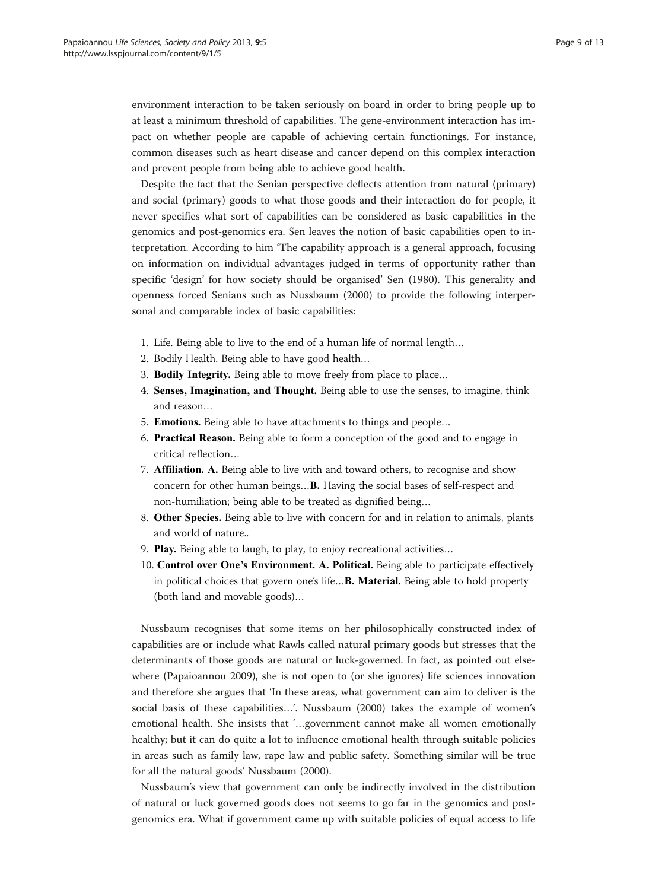environment interaction to be taken seriously on board in order to bring people up to at least a minimum threshold of capabilities. The gene-environment interaction has impact on whether people are capable of achieving certain functionings. For instance, common diseases such as heart disease and cancer depend on this complex interaction and prevent people from being able to achieve good health.

Despite the fact that the Senian perspective deflects attention from natural (primary) and social (primary) goods to what those goods and their interaction do for people, it never specifies what sort of capabilities can be considered as basic capabilities in the genomics and post-genomics era. Sen leaves the notion of basic capabilities open to interpretation. According to him 'The capability approach is a general approach, focusing on information on individual advantages judged in terms of opportunity rather than specific 'design' for how society should be organised' Sen [\(1980](#page-12-0)). This generality and openness forced Senians such as Nussbaum [\(2000](#page-12-0)) to provide the following interpersonal and comparable index of basic capabilities:

- 1. Life. Being able to live to the end of a human life of normal length…
- 2. Bodily Health. Being able to have good health…
- 3. Bodily Integrity. Being able to move freely from place to place…
- 4. Senses, Imagination, and Thought. Being able to use the senses, to imagine, think and reason…
- 5. Emotions. Being able to have attachments to things and people…
- 6. Practical Reason. Being able to form a conception of the good and to engage in critical reflection…
- 7. Affiliation. A. Being able to live with and toward others, to recognise and show concern for other human beings…B. Having the social bases of self-respect and non-humiliation; being able to be treated as dignified being…
- 8. Other Species. Being able to live with concern for and in relation to animals, plants and world of nature..
- 9. Play. Being able to laugh, to play, to enjoy recreational activities…
- 10. Control over One's Environment. A. Political. Being able to participate effectively in political choices that govern one's life...**B. Material.** Being able to hold property (both land and movable goods)…

Nussbaum recognises that some items on her philosophically constructed index of capabilities are or include what Rawls called natural primary goods but stresses that the determinants of those goods are natural or luck-governed. In fact, as pointed out elsewhere (Papaioannou [2009\)](#page-12-0), she is not open to (or she ignores) life sciences innovation and therefore she argues that 'In these areas, what government can aim to deliver is the social basis of these capabilities…'. Nussbaum [\(2000\)](#page-12-0) takes the example of women's emotional health. She insists that '…government cannot make all women emotionally healthy; but it can do quite a lot to influence emotional health through suitable policies in areas such as family law, rape law and public safety. Something similar will be true for all the natural goods' Nussbaum ([2000](#page-12-0)).

Nussbaum's view that government can only be indirectly involved in the distribution of natural or luck governed goods does not seems to go far in the genomics and postgenomics era. What if government came up with suitable policies of equal access to life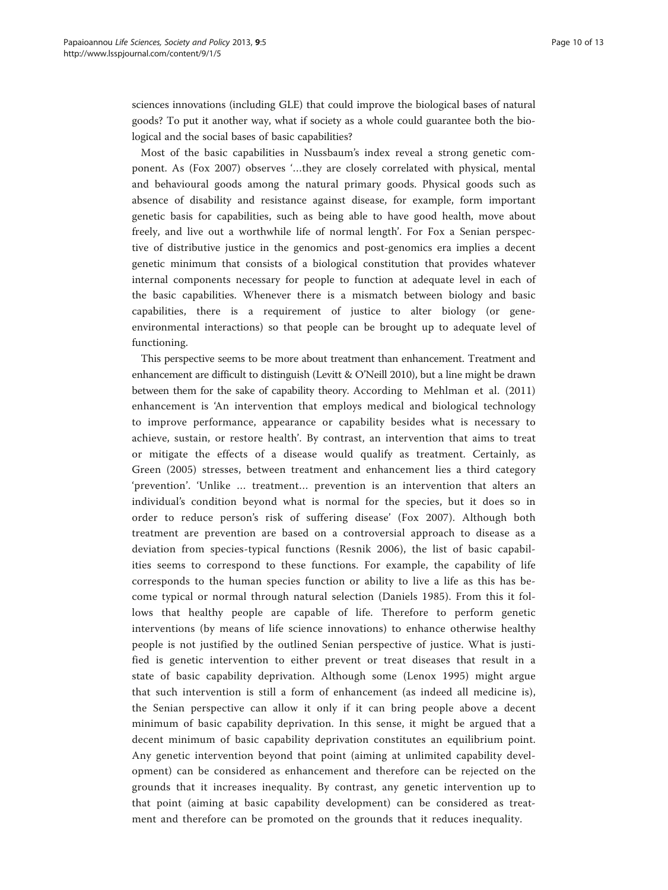sciences innovations (including GLE) that could improve the biological bases of natural goods? To put it another way, what if society as a whole could guarantee both the biological and the social bases of basic capabilities?

Most of the basic capabilities in Nussbaum's index reveal a strong genetic component. As (Fox [2007](#page-12-0)) observes '…they are closely correlated with physical, mental and behavioural goods among the natural primary goods. Physical goods such as absence of disability and resistance against disease, for example, form important genetic basis for capabilities, such as being able to have good health, move about freely, and live out a worthwhile life of normal length'. For Fox a Senian perspective of distributive justice in the genomics and post-genomics era implies a decent genetic minimum that consists of a biological constitution that provides whatever internal components necessary for people to function at adequate level in each of the basic capabilities. Whenever there is a mismatch between biology and basic capabilities, there is a requirement of justice to alter biology (or geneenvironmental interactions) so that people can be brought up to adequate level of functioning.

This perspective seems to be more about treatment than enhancement. Treatment and enhancement are difficult to distinguish (Levitt & O'Neill [2010](#page-12-0)), but a line might be drawn between them for the sake of capability theory. According to Mehlman et al. ([2011](#page-12-0)) enhancement is 'An intervention that employs medical and biological technology to improve performance, appearance or capability besides what is necessary to achieve, sustain, or restore health'. By contrast, an intervention that aims to treat or mitigate the effects of a disease would qualify as treatment. Certainly, as Green ([2005](#page-12-0)) stresses, between treatment and enhancement lies a third category 'prevention'. 'Unlike … treatment… prevention is an intervention that alters an individual's condition beyond what is normal for the species, but it does so in order to reduce person's risk of suffering disease' (Fox [2007](#page-12-0)). Although both treatment are prevention are based on a controversial approach to disease as a deviation from species-typical functions (Resnik [2006\)](#page-12-0), the list of basic capabilities seems to correspond to these functions. For example, the capability of life corresponds to the human species function or ability to live a life as this has become typical or normal through natural selection (Daniels [1985\)](#page-11-0). From this it follows that healthy people are capable of life. Therefore to perform genetic interventions (by means of life science innovations) to enhance otherwise healthy people is not justified by the outlined Senian perspective of justice. What is justified is genetic intervention to either prevent or treat diseases that result in a state of basic capability deprivation. Although some (Lenox [1995](#page-12-0)) might argue that such intervention is still a form of enhancement (as indeed all medicine is), the Senian perspective can allow it only if it can bring people above a decent minimum of basic capability deprivation. In this sense, it might be argued that a decent minimum of basic capability deprivation constitutes an equilibrium point. Any genetic intervention beyond that point (aiming at unlimited capability development) can be considered as enhancement and therefore can be rejected on the grounds that it increases inequality. By contrast, any genetic intervention up to that point (aiming at basic capability development) can be considered as treatment and therefore can be promoted on the grounds that it reduces inequality.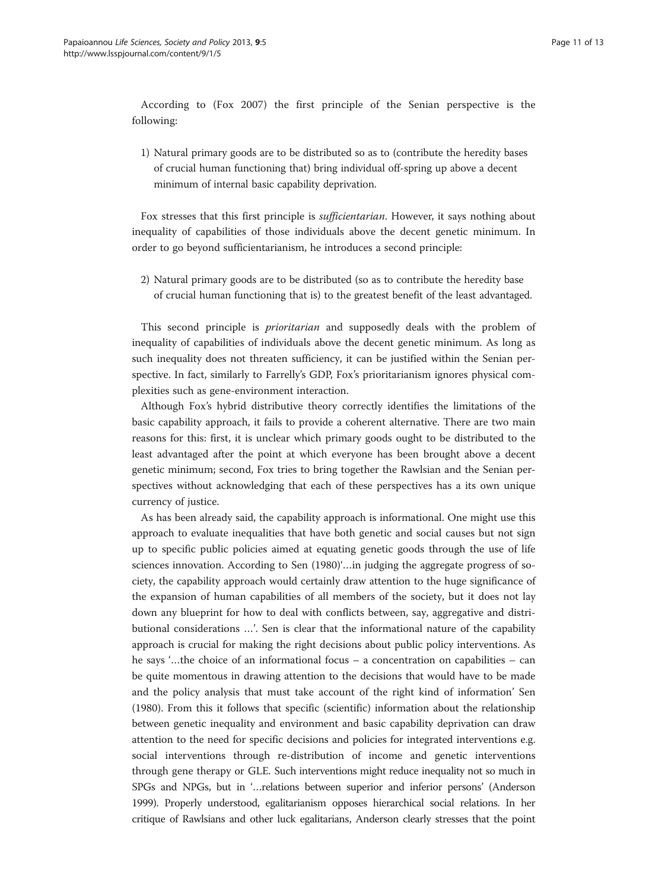According to (Fox [2007\)](#page-12-0) the first principle of the Senian perspective is the following:

1) Natural primary goods are to be distributed so as to (contribute the heredity bases of crucial human functioning that) bring individual off-spring up above a decent minimum of internal basic capability deprivation.

Fox stresses that this first principle is *sufficientarian*. However, it says nothing about inequality of capabilities of those individuals above the decent genetic minimum. In order to go beyond sufficientarianism, he introduces a second principle:

2) Natural primary goods are to be distributed (so as to contribute the heredity base of crucial human functioning that is) to the greatest benefit of the least advantaged.

This second principle is prioritarian and supposedly deals with the problem of inequality of capabilities of individuals above the decent genetic minimum. As long as such inequality does not threaten sufficiency, it can be justified within the Senian perspective. In fact, similarly to Farrelly's GDP, Fox's prioritarianism ignores physical complexities such as gene-environment interaction.

Although Fox's hybrid distributive theory correctly identifies the limitations of the basic capability approach, it fails to provide a coherent alternative. There are two main reasons for this: first, it is unclear which primary goods ought to be distributed to the least advantaged after the point at which everyone has been brought above a decent genetic minimum; second, Fox tries to bring together the Rawlsian and the Senian perspectives without acknowledging that each of these perspectives has a its own unique currency of justice.

As has been already said, the capability approach is informational. One might use this approach to evaluate inequalities that have both genetic and social causes but not sign up to specific public policies aimed at equating genetic goods through the use of life sciences innovation. According to Sen ([1980\)](#page-12-0)'…in judging the aggregate progress of society, the capability approach would certainly draw attention to the huge significance of the expansion of human capabilities of all members of the society, but it does not lay down any blueprint for how to deal with conflicts between, say, aggregative and distributional considerations …'. Sen is clear that the informational nature of the capability approach is crucial for making the right decisions about public policy interventions. As he says '…the choice of an informational focus – a concentration on capabilities – can be quite momentous in drawing attention to the decisions that would have to be made and the policy analysis that must take account of the right kind of information' Sen ([1980](#page-12-0)). From this it follows that specific (scientific) information about the relationship between genetic inequality and environment and basic capability deprivation can draw attention to the need for specific decisions and policies for integrated interventions e.g. social interventions through re-distribution of income and genetic interventions through gene therapy or GLE. Such interventions might reduce inequality not so much in SPGs and NPGs, but in '…relations between superior and inferior persons' (Anderson [1999\)](#page-11-0). Properly understood, egalitarianism opposes hierarchical social relations. In her critique of Rawlsians and other luck egalitarians, Anderson clearly stresses that the point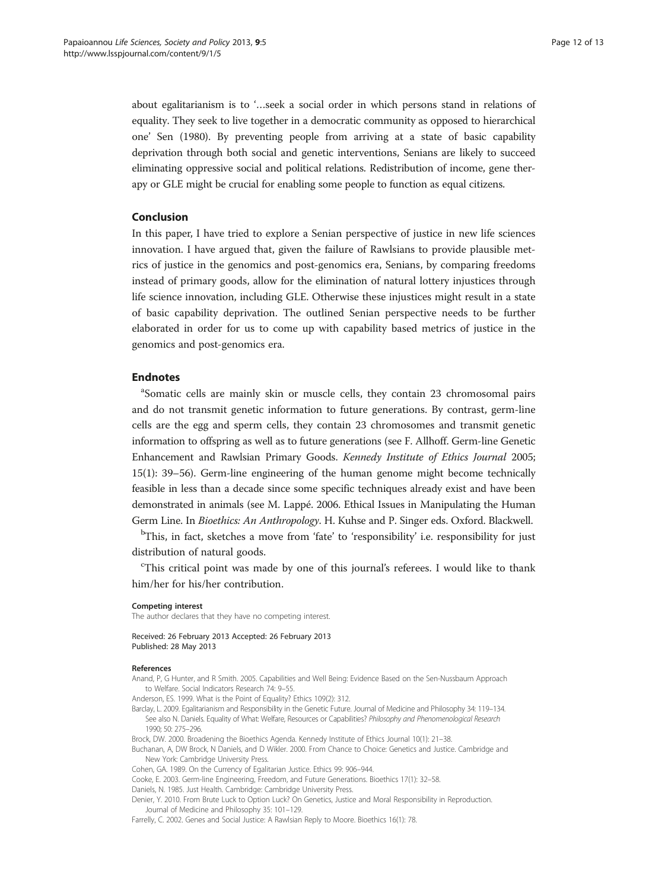<span id="page-11-0"></span>about egalitarianism is to '…seek a social order in which persons stand in relations of equality. They seek to live together in a democratic community as opposed to hierarchical one' Sen [\(1980\)](#page-12-0). By preventing people from arriving at a state of basic capability deprivation through both social and genetic interventions, Senians are likely to succeed eliminating oppressive social and political relations. Redistribution of income, gene therapy or GLE might be crucial for enabling some people to function as equal citizens.

#### Conclusion

In this paper, I have tried to explore a Senian perspective of justice in new life sciences innovation. I have argued that, given the failure of Rawlsians to provide plausible metrics of justice in the genomics and post-genomics era, Senians, by comparing freedoms instead of primary goods, allow for the elimination of natural lottery injustices through life science innovation, including GLE. Otherwise these injustices might result in a state of basic capability deprivation. The outlined Senian perspective needs to be further elaborated in order for us to come up with capability based metrics of justice in the genomics and post-genomics era.

#### Endnotes

<sup>a</sup>Somatic cells are mainly skin or muscle cells, they contain 23 chromosomal pairs and do not transmit genetic information to future generations. By contrast, germ-line cells are the egg and sperm cells, they contain 23 chromosomes and transmit genetic information to offspring as well as to future generations (see F. Allhoff. Germ-line Genetic Enhancement and Rawlsian Primary Goods. Kennedy Institute of Ethics Journal 2005; 15(1): 39–56). Germ-line engineering of the human genome might become technically feasible in less than a decade since some specific techniques already exist and have been demonstrated in animals (see M. Lappé. 2006. Ethical Issues in Manipulating the Human Germ Line. In Bioethics: An Anthropology. H. Kuhse and P. Singer eds. Oxford. Blackwell.

<sup>b</sup>This, in fact, sketches a move from 'fate' to 'responsibility' i.e. responsibility for just distribution of natural goods.

<sup>c</sup>This critical point was made by one of this journal's referees. I would like to thank him/her for his/her contribution.

#### Competing interest

The author declares that they have no competing interest.

Received: 26 February 2013 Accepted: 26 February 2013 Published: 28 May 2013

#### References

Anand, P, G Hunter, and R Smith. 2005. Capabilities and Well Being: Evidence Based on the Sen-Nussbaum Approach to Welfare. Social Indicators Research 74: 9–55.

Anderson, ES. 1999. What is the Point of Equality? Ethics 109(2): 312.

Barclay, L. 2009. Egalitarianism and Responsibility in the Genetic Future. Journal of Medicine and Philosophy 34: 119–134. See also N. Daniels. Equality of What: Welfare, Resources or Capabilities? Philosophy and Phenomenological Research 1990; 50: 275–296.

Brock, DW. 2000. Broadening the Bioethics Agenda. Kennedy Institute of Ethics Journal 10(1): 21–38.

Buchanan, A, DW Brock, N Daniels, and D Wikler. 2000. From Chance to Choice: Genetics and Justice. Cambridge and New York: Cambridge University Press.

Cohen, GA. 1989. On the Currency of Egalitarian Justice. Ethics 99: 906–944.

Cooke, E. 2003. Germ-line Engineering, Freedom, and Future Generations. Bioethics 17(1): 32–58.

Daniels, N. 1985. Just Health. Cambridge: Cambridge University Press.

Denier, Y. 2010. From Brute Luck to Option Luck? On Genetics, Justice and Moral Responsibility in Reproduction. Journal of Medicine and Philosophy 35: 101–129.

Farrelly, C. 2002. Genes and Social Justice: A Rawlsian Reply to Moore. Bioethics 16(1): 78.